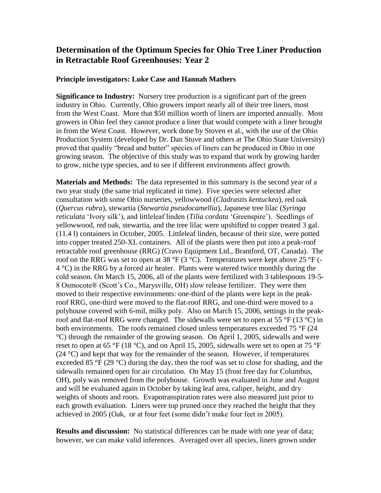## **Determination of the Optimum Species for Ohio Tree Liner Production in Retractable Roof Greenhouses: Year 2**

## **Principle investigators: Luke Case and Hannah Mathers**

**Significance to Industry:** Nursery tree production is a significant part of the green industry in Ohio. Currently, Ohio growers import nearly all of their tree liners, most from the West Coast. More that \$50 million worth of liners are imported annually. Most growers in Ohio feel they cannot produce a liner that would compete with a liner brought in from the West Coast. However, work done by Stoven et al., with the use of the Ohio Production System (developed by Dr. Dan Stuve and others at The Ohio State University) proved that quality "bread and butter" species of liners can be produced in Ohio in one growing season. The objective of this study was to expand that work by growing harder to grow, niche type species, and to see if different environments affect growth.

**Materials and Methods:** The data represented in this summary is the second year of a two year study (the same trial replicated in time). Five species were selected after consultation with some Ohio nurseries, yellowwood (*Cladrastis kentuckea*), red oak (*Quercus rubra*), stewartia (*Stewartia pseudocamellia*), Japanese tree lilac (*Syringa reticulata* 'Ivory silk'), and littleleaf linden (*Tilia cordata* 'Greenspire'). Seedlings of yellowwood, red oak, stewartia, and the tree lilac were upshifted to copper treated 3 gal. (11.4 l) containers in October, 2005. Littleleaf linden, because of their size, were potted into copper treated 250-XL containers. All of the plants were then put into a peak-roof retractable roof greenhouse (RRG) (Cravo Equipment Ltd., Brantford, OT, Canada). The roof on the RRG was set to open at 38  $\rm{P}F$  (3  $\rm{O}C$ ). Temperatures were kept above 25  $\rm{P}F$  (-4 °C) in the RRG by a forced air heater. Plants were watered twice monthly during the cold season. On March 15, 2006, all of the plants were fertilized with 3 tablespoons 19-5- 8 Osmocote® (Scott's Co., Marysville, OH) slow release fertilizer. They were then moved to their respective environments: one-third of the plants were kept in the peakroof RRG, one-third were moved to the flat-roof RRG, and one-third were moved to a polyhouse covered with 6-mil, milky poly.Also on March 15, 2006, settings in the peakroof and flat-roof RRG were changed. The sidewalls were set to open at 55  $\degree$ F (13  $\degree$ C) in both environments. The roofs remained closed unless temperatures exceeded 75 °F (24) °C) through the remainder of the growing season. On April 1, 2005, sidewalls and were reset to open at 65 °F (18 °C), and on April 15, 2005, sidewalls were set to open at 75 °F  $(24 \text{ °C})$  and kept that way for the remainder of the season. However, if temperatures exceeded 85  $\degree$ F (29  $\degree$ C) during the day, then the roof was set to close for shading, and the sidewalls remained open for air circulation. On May 15 (frost free day for Columbus, OH), poly was removed from the polyhouse. Growth was evaluated in June and August and will be evaluated again in October by taking leaf area, caliper, height, and dry weights of shoots and roots. Evapotranspiration rates were also measured just prior to each growth evaluation. Liners were top pruned once they reached the height that they achieved in 2005 (Oak, or at four feet (some didn't make four feet in 2005).

**Results and discussion:** No statistical differences can be made with one year of data; however, we can make valid inferences. Averaged over all species, liners grown under